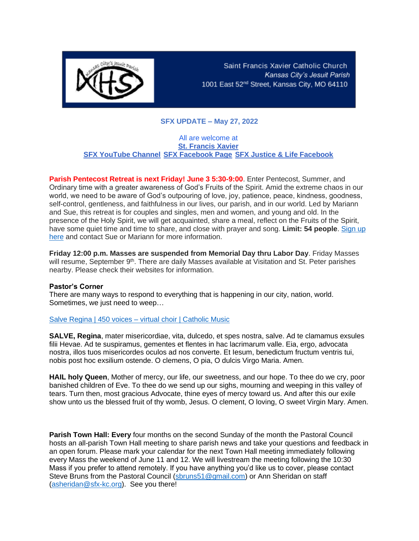

Saint Francis Xavier Catholic Church Kansas City's Jesuit Parish 1001 East 52<sup>nd</sup> Street, Kansas City, MO 64110

# **SFX UPDATE – May 27, 2022**

### All are welcome at **[St. Francis Xavier](https://r20.rs6.net/tn.jsp?f=001vC53TyorLB77KUNXzdslYghygDvkv6TM9umxr_STtBCflXflajfp6JjpyajVVrBScu3lf31i6xoa9RnZjYv0cFduuh58GLeuFFRyQGnTfnL8ixoM038g5o8H6dTXF4TzThM--CkZDsk=&c=6r6Bs1RoSzQ8Abd-HpZdi6YVq8mT243jIJC6aUx28K66_1VNVGRfBQ==&ch=XeKC8gWayusRtRZOSYMzRAiQtxfRWz7QzrsmCbXzRxUIbQxoOfhvxQ==) [SFX YouTube Channel](https://r20.rs6.net/tn.jsp?f=001vC53TyorLB77KUNXzdslYghygDvkv6TM9umxr_STtBCflXflajfp6DnL44W2hEGKf26y_DBADePNV4aCGIxkyqG1LNYHpm0xn08yR9TUuJ0g87d3mmYmNYRqRWCShuZo6oZg1n3MXb21ZAg0Dig7vKfGUQ7CVBdtZUzQKK839WKHZ4uJON7hwSVtNGB8z9Cq&c=6r6Bs1RoSzQ8Abd-HpZdi6YVq8mT243jIJC6aUx28K66_1VNVGRfBQ==&ch=XeKC8gWayusRtRZOSYMzRAiQtxfRWz7QzrsmCbXzRxUIbQxoOfhvxQ==) [SFX Facebook Page](https://r20.rs6.net/tn.jsp?f=001vC53TyorLB77KUNXzdslYghygDvkv6TM9umxr_STtBCflXflajfp6PPkT4jGHOSM6_CcjjUY6iyXa4Lr99yOO8dI_sRkU_mP2m0m0xPud7xj0sGFnoxNeUHk5GbNPnaR7qRLIWctb2su0IXYCWp-OWCdEU0WOm7f&c=6r6Bs1RoSzQ8Abd-HpZdi6YVq8mT243jIJC6aUx28K66_1VNVGRfBQ==&ch=XeKC8gWayusRtRZOSYMzRAiQtxfRWz7QzrsmCbXzRxUIbQxoOfhvxQ==) [SFX Justice & Life Facebook](https://r20.rs6.net/tn.jsp?f=001vC53TyorLB77KUNXzdslYghygDvkv6TM9umxr_STtBCflXflajfp6PPkT4jGHOSMItLEaWiWs7QDJs4-z2lk7K1RwRj5tO6OkjueCqhDS96mxlo2ZXCJpTgicbmVqMVrAOzYCDyKRlEmol6M530bxzEJg28yu5onjDs15MyV6ss=&c=6r6Bs1RoSzQ8Abd-HpZdi6YVq8mT243jIJC6aUx28K66_1VNVGRfBQ==&ch=XeKC8gWayusRtRZOSYMzRAiQtxfRWz7QzrsmCbXzRxUIbQxoOfhvxQ==)**

**Parish Pentecost Retreat is next Friday! June 3 5:30-9:00**. Enter Pentecost, Summer, and Ordinary time with a greater awareness of God's Fruits of the Spirit. Amid the extreme chaos in our world, we need to be aware of God's outpouring of love, joy, patience, peace, kindness, goodness, self-control, gentleness, and faithfulness in our lives, our parish, and in our world. Led by Mariann and Sue, this retreat is for couples and singles, men and women, and young and old. In the presence of the Holy Spirit, we will get acquainted, share a meal, reflect on the Fruits of the Spirit, have some quiet time and time to share, and close with prayer and song. **Limit: 54 people**[. Sign up](mailto:https://www.signupgenius.com/go/9040A4CA5AF2EA6FF2-pentecost)  [here](mailto:https://www.signupgenius.com/go/9040A4CA5AF2EA6FF2-pentecost) and contact Sue or Mariann for more information.

**Friday 12:00 p.m. Masses are suspended from Memorial Day thru Labor Day**. Friday Masses will resume, September 9<sup>th</sup>. There are daily Masses available at Visitation and St. Peter parishes nearby. Please check their websites for information.

#### **Pastor's Corner**

There are many ways to respond to everything that is happening in our city, nation, world. Sometimes, we just need to weep…

## Salve Regina | 450 voices – [virtual choir | Catholic Music](https://youtu.be/f0YWKLNhTvE)

**SALVE, Regina**, mater misericordiae, vita, dulcedo, et spes nostra, salve. Ad te clamamus exsules filii Hevae. Ad te suspiramus, gementes et flentes in hac lacrimarum valle. Eia, ergo, advocata nostra, illos tuos misericordes oculos ad nos converte. Et Iesum, benedictum fructum ventris tui, nobis post hoc exsilium ostende. O clemens, O pia, O dulcis Virgo Maria. Amen.

**HAIL holy Queen**, Mother of mercy, our life, our sweetness, and our hope. To thee do we cry, poor banished children of Eve. To thee do we send up our sighs, mourning and weeping in this valley of tears. Turn then, most gracious Advocate, thine eyes of mercy toward us. And after this our exile show unto us the blessed fruit of thy womb, Jesus. O clement, O loving, O sweet Virgin Mary. Amen.

**Parish Town Hall: Every** four months on the second Sunday of the month the Pastoral Council hosts an all-parish Town Hall meeting to share parish news and take your questions and feedback in an open forum. Please mark your calendar for the next Town Hall meeting immediately following every Mass the weekend of June 11 and 12. We will livestream the meeting following the 10:30 Mass if you prefer to attend remotely. If you have anything you'd like us to cover, please contact Steve Bruns from the Pastoral Council [\(sbruns51@gmail.com\)](mailto:sbruns51@gmail.com) or Ann Sheridan on staff [\(asheridan@sfx-kc.org\)](mailto:asheridan@sfx-kc.org). See you there!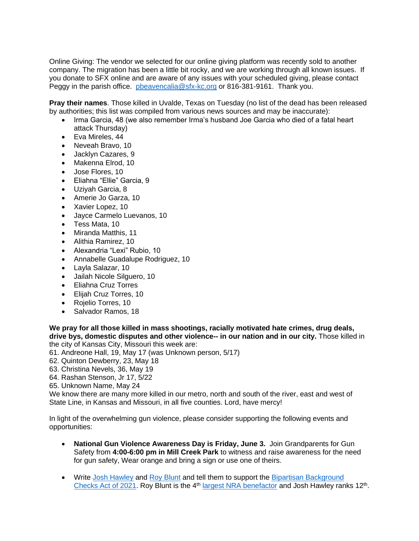Online Giving: The vendor we selected for our online giving platform was recently sold to another company. The migration has been a little bit rocky, and we are working through all known issues. If you donate to SFX online and are aware of any issues with your scheduled giving, please contact Peggy in the parish office. [pbeavencalia@sfx-kc.org](mailto:pbeavencalia@sfx-kc.org) or 816-381-9161. Thank you.

**Pray their names**. Those killed in Uvalde, Texas on Tuesday (no list of the dead has been released by authorities; this list was compiled from various news sources and may be inaccurate):

- Irma Garcia, 48 (we also remember Irma's husband Joe Garcia who died of a fatal heart attack Thursday)
- Eva Mireles, 44
- Neveah Bravo, 10
- Jacklyn Cazares, 9
- Makenna Elrod, 10
- Jose Flores, 10
- Eliahna "Ellie" Garcia, 9
- Uziyah Garcia, 8
- Amerie Jo Garza, 10
- Xavier Lopez, 10
- Jayce Carmelo Luevanos, 10
- Tess Mata, 10
- Miranda Matthis, 11
- Alithia Ramirez, 10
- Alexandria "Lexi" Rubio, 10
- Annabelle Guadalupe Rodriguez, 10
- Layla Salazar, 10
- Jailah Nicole Silguero, 10
- Eliahna Cruz Torres
- Elijah Cruz Torres, 10
- Rojelio Torres, 10
- Salvador Ramos, 18

**We pray for all those killed in mass shootings, racially motivated hate crimes, drug deals, drive bys, domestic disputes and other violence-- in our nation and in our city.** Those killed in the city of Kansas City, Missouri this week are:

- 61. Andreone Hall, 19, May 17 (was Unknown person, 5/17)
- 62. Quinton Dewberry, 23, May 18
- 63. Christina Nevels, 36, May 19
- 64. Rashan Stenson, Jr 17, 5/22
- 65. Unknown Name, May 24

We know there are many more killed in our metro, north and south of the river, east and west of State Line, in Kansas and Missouri, in all five counties. Lord, have mercy!

In light of the overwhelming gun violence, please consider supporting the following events and opportunities:

- **National Gun Violence Awareness Day is Friday, June 3.** Join Grandparents for Gun Safety from **4:00-6:00 pm in Mill Creek Park** to witness and raise awareness for the need for gun safety, Wear orange and bring a sign or use one of theirs.
- Write [Josh Hawley](https://www.hawley.senate.gov/contact-senator-hawley) and [Roy Blunt](https://www.blunt.senate.gov/contact/contact-roy) and tell them to support the Bipartisan Background [Checks Act of 2021.](https://www.congress.gov/bill/117th-congress/house-bill/8) Roy Blunt is the 4<sup>th</sup> [largest NRA benefactor](https://news.stlpublicradio.org/government-politics-issues/2022-05-26/how-much-has-the-nra-spent-on-missouris-senators) and Josh Hawley ranks 12<sup>th</sup>.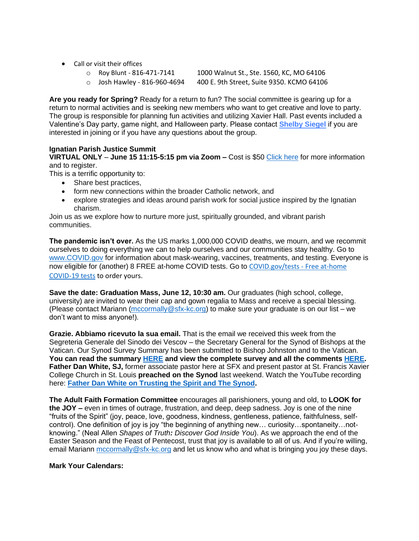- Call or visit their offices
	-

o Roy Blunt - 816-471-7141 1000 Walnut St., Ste. 1560, KC, MO 64106

o Josh Hawley - 816-960-4694 400 E. 9th Street, Suite 9350. KCMO 64106

**Are you ready for Spring?** Ready for a return to fun? The social committee is gearing up for a return to normal activities and is seeking new members who want to get creative and love to party. The group is responsible for planning fun activities and utilizing Xavier Hall. Past events included a Valentine's Day party, game night, and Halloween party. Please contac[t](mailto:belvit73@gmail.com) **[Shelby Siegel](mailto:belvit73@gmail.com)** if you are interested in joining or if you have any questions about the group.

## **Ignatian Parish Justice Summit**

**VIRTUAL ONLY** – **June 15 11:15-5:15 pm via Zoom –** Cost is \$50 [Click here](mailto:https://ignatiansolidarity.net/ignatian-parish-justice-summit/?utm_source=Parishioners+and+Parish+Staff&utm_campaign=13193b2fe0-Soldiarity+on+Tap+-+Chicago_COPY_01&utm_medium=email&utm_term=0_292a80a64d-13193b2fe0-256206725&mc_cid=13193b2fe0&mc_eid=0ac78c8e67) for more information and to register.

This is a terrific opportunity to:

- Share best practices,
- form new connections within the broader Catholic network, and
- explore strategies and ideas around parish work for social justice inspired by the Ignatian charism.

Join us as we explore how to nurture more just, spiritually grounded, and vibrant parish communities.

**The pandemic isn't over.** As the US marks 1,000,000 COVID deaths, we mourn, and we recommit ourselves to doing everything we can to help ourselves and our communities stay healthy. Go to [www.COVID.gov](http://www.covid.gov/) for information about mask-wearing, vaccines, treatments, and testing. Everyone is now eligible for (another) 8 FREE at-home COVID tests. Go to [COVID.gov/tests -](https://www.covid.gov/tests) Free at-home [COVID-19 tests](https://www.covid.gov/tests) to order yours.

Save the date: Graduation Mass, June 12, 10:30 am. Our graduates (high school, college, university) are invited to wear their cap and gown regalia to Mass and receive a special blessing. (Please contact Mariann [\(mccormally@sfx-kc.org\)](mailto:mccormally@sfx-kc.org) to make sure your graduate is on our list – we don't want to miss anyone!).

**Grazie. Abbiamo ricevuto la sua email.** That is the email we received this week from the Segreteria Generale del Sinodo dei Vescov – the Secretary General for the Synod of Bishops at the Vatican. Our Synod Survey Summary has been submitted to Bishop Johnston and to the Vatican. **You can read the summary [HERE](http://www.sfx-kc.org/wp-content/uploads/2022/05/Synod-Survey-Summary.pdf) and view the complete survey and all the comments [HERE.](http://www.sfx-kc.org/wp-content/uploads/2022/05/Synod-Survey-result-.pdf) Father Dan White, SJ,** former associate pastor here at SFX and present pastor at St. Francis Xavier College Church in St. Louis **preached on the Synod** last weekend. Watch the YouTube recording here: **[Father Dan White on Trusting the Spirit and The Synod.](https://youtube.com/clip/Ugkx6p5dq0sJbDtQyunhrYq_5DquLG4PMPIX)** 

**The Adult Faith Formation Committee** encourages all parishioners, young and old, to **LOOK for the JOY –** even in times of outrage, frustration, and deep, deep sadness. Joy is one of the nine "fruits of the Spirit" (joy, peace, love, goodness, kindness, gentleness, patience, faithfulness, selfcontrol). One definition of joy is joy "the beginning of anything new… curiosity…spontaneity…notknowing." (Neal Allen *Shapes of Truth: Discover God Inside You*). As we approach the end of the Easter Season and the Feast of Pentecost, trust that joy is available to all of us. And if you're willing, email Mariann [mccormally@sfx-kc.org](mailto:mccormally@sfx-kc.org) and let us know who and what is bringing you joy these days.

## **Mark Your Calendars:**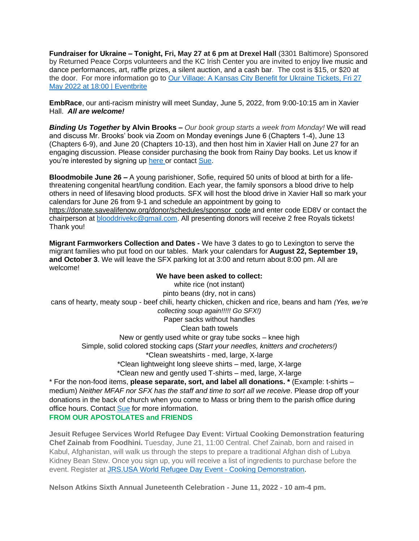**Fundraiser for Ukraine – Tonight, Fri, May 27 at 6 pm at Drexel Hall** (3301 Baltimore) Sponsored by Returned Peace Corps volunteers and the KC Irish Center you are invited to enjoy live music and dance performances, art, raffle prizes, a silent auction, and a cash bar. The cost is \$15, or \$20 at the door. For more information go to [Our Village: A Kansas City Benefit for Ukraine Tickets, Fri 27](https://www.eventbrite.com/e/our-village-a-kansas-city-benefit-for-ukraine-tickets-333065627257?aff=erellivmlt)  [May 2022 at 18:00 | Eventbrite](https://www.eventbrite.com/e/our-village-a-kansas-city-benefit-for-ukraine-tickets-333065627257?aff=erellivmlt)

**EmbRace**, our anti-racism ministry will meet Sunday, June 5, 2022, from 9:00-10:15 am in Xavier Hall. *All are welcome!*

*Binding Us Together* **by Alvin Brooks –** *Our book group starts a week from Monday!* We will read and discuss Mr. Brooks' book via Zoom on Monday evenings June 6 (Chapters 1-4), June 13 (Chapters 6-9), and June 20 (Chapters 10-13), and then host him in Xavier Hall on June 27 for an engaging discussion. Please consider purchasing the book from Rainy Day books. Let us know if you're interested by signing up [here](https://www.signupgenius.com/go/9040A4CA5AF2EA6FF2-binding) or contact [Sue.](mailto:srobb@sfx-kc.org)

**Bloodmobile June 26 –** A young parishioner, Sofie, required 50 units of blood at birth for a lifethreatening congenital heart/lung condition. Each year, the family sponsors a blood drive to help others in need of lifesaving blood products. SFX will host the blood drive in Xavier Hall so mark your calendars for June 26 from 9-1 and schedule an appointment by going to [https://donate.savealifenow.org/donor/schedules/sponsor\\_code](https://donate.savealifenow.org/donor/schedules/sponsor_code) and enter code ED8V or contact the chairperson at [blooddrivekc@gmail.com.](mailto:blooddrivekc@gmail.com) All presenting donors will receive 2 free Royals tickets! Thank you!

**Migrant Farmworkers Collection and Dates -** We have 3 dates to go to Lexington to serve the migrant families who put food on our tables. Mark your calendars for **August 22, September 19, and October 3**. We will leave the SFX parking lot at 3:00 and return about 8:00 pm. All are welcome!

# **We have been asked to collect:**

white rice (not instant) pinto beans (dry, not in cans) cans of hearty, meaty soup - beef chili, hearty chicken, chicken and rice, beans and ham *(Yes, we're collecting soup again!!!!! Go SFX!)* Paper sacks without handles Clean bath towels New or gently used white or gray tube socks – knee high Simple, solid colored stocking caps (*Start your needles, knitters and crocheters!)* \*Clean sweatshirts - med, large, X-large \*Clean lightweight long sleeve shirts – med, large, X-large \*Clean new and gently used T-shirts – med, large, X-large \* For the non-food items, **please separate, sort, and label all donations. \*** (Example: t-shirts –

medium) *Neither MFAF nor SFX has the staff and time to sort all we receive*. Please drop off your donations in the back of church when you come to Mass or bring them to the parish office during office hours. Contact [Sue](mailto:srobb@sfx-kc.org) for more information. **FROM OUR APOSTOLATES and FRIENDS**

**Jesuit Refugee Services World Refugee Day Event: Virtual Cooking Demonstration featuring Chef Zainab from Foodhini.** Tuesday, June 21, 11:00 Central. Chef Zainab, born and raised in Kabul, Afghanistan, will walk us through the steps to prepare a traditional Afghan dish of Lubya Kidney Bean Stew. Once you sign up, you will receive a list of ingredients to purchase before the event. Register at [JRS.USA World Refugee Day Event -](https://www.jrsusa.org/event/wrd-event-foodhini/) Cooking Demonstration.

**Nelson Atkins Sixth Annual Juneteenth Celebration - June 11, 2022 - 10 am-4 pm.**